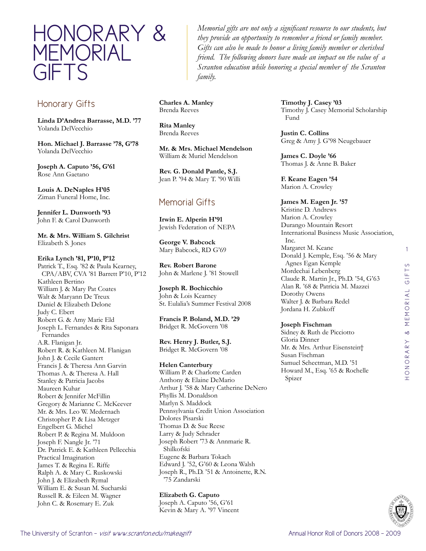

# Honorary Gifts

**Linda D'Andrea Barrasse, M.D. '77** Yolanda DelVecchio

**Hon. Michael J. Barrasse '78, G'78** Yolanda DelVecchio

**Joseph A. Caputo '56, G'61** Rose Ann Gaetano

**Louis A. DeNaples H'05** Ziman Funeral Home, Inc.

**Jennifer L. Dunworth '93** John F. & Carol Dunworth

**Mr. & Mrs. William S. Gilchrist** Elizabeth S. Jones

### **Erika Lynch '81, P'10, P'12**

Patrick T., Esq. '82 & Paula Kearney, CPA/ABV, CVA '81 Barrett P'10, P'12 Kathleen Bertino William J. & Mary Pat Coates Walt & Maryann De Treux Daniel & Elizabeth Delone Judy C. Ebert Robert G. & Amy Marie Eld Joseph L. Fernandes & Rita Saponara Fernandes A.R. Flanigan Jr. Robert R. & Kathleen M. Flanigan John J. & Cecile Gantert Francis J. & Theresa Ann Garvin Thomas A. & Theresa A. Hall Stanley & Patricia Jacobs Maureen Kuhar Robert & Jennifer McFillin Gregory & Marianne C. McKeever Mr. & Mrs. Leo W. Medernach Christopher P. & Lisa Metzger Engelbert G. Michel Robert P. & Regina M. Muldoon Joseph F. Nangle Jr. '71 Dr. Patrick E. & Kathleen Pellecchia Practical Imagination James T. & Regina E. Riffe Ralph A. & Mary C. Ruskowski John J. & Elizabeth Rymal William E. & Susan M. Sucharski Russell R. & Eileen M. Wagner John C. & Rosemary E. Zuk

*Memorial gifts are not only a significant resource to our students, but they provide an opportunity to remember a friend or family member. Gifts can also be made to honor a living family member or cherished friend. The following donors have made an impact on the value of a Scranton education while honoring a special member of the Scranton family.*

**Charles A. Manley** Brenda Reeves

**Rita Manley** Brenda Reeves

**Mr. & Mrs. Michael Mendelson** William & Muriel Mendelson

**Rev. G. Donald Pantle, S.J.** Jean P. '94 & Mary T. '90 Willi

# Memorial Gifts

**Irwin E. Alperin H'91** Jewish Federation of NEPA

**George V. Babcock** Mary Babcock, RD G'69

**Rev. Robert Barone** John & Marlene J. '81 Stowell

**Joseph R. Bochicchio** John & Lois Kearney St. Eulalia's Summer Festival 2008

**Francis P. Boland, M.D. '29** Bridget R. McGovern '08

**Rev. Henry J. Butler, S.J.** Bridget R. McGovern '08

### **Helen Canterbury**

William P. & Charlotte Carden Anthony & Elaine DeMario Arthur J. '58 & Mary Catherine DeNero Phyllis M. Donaldson Marlyn S. Maddock Pennsylvania Credit Union Association Dolores Pisarski Thomas D. & Sue Reese Larry & Judy Schrader Joseph Robert '73 & Annmarie R. Shilkofski Eugene & Barbara Tokach Edward J. '52, G'60 & Leona Walsh Joseph R., Ph.D. '51 & Antoinette, R.N. '75 Zandarski

**Elizabeth G. Caputo**

Joseph A. Caputo '56, G'61 Kevin & Mary A. '97 Vincent **Timothy J. Casey '03** Timothy J. Casey Memorial Scholarship Fund

**Justin C. Collins** Greg & Amy J. G'98 Neugebauer

**James C. Doyle '66** Thomas J. & Anne B. Baker

**F. Keane Eagen '54** Marion A. Crowley

### **James M. Eagen Jr. '57**

Kristine D. Andrews Marion A. Crowley Durango Mountain Resort International Business Music Association, Inc. Margaret M. Keane Donald J. Kemple, Esq. '56 & Mary Agnes Egan Kemple Mordechai Lebenberg Claude R. Martin Jr., Ph.D. '54, G'63

Alan R. '68 & Patricia M. Mazzei Dorothy Owens Walter J. & Barbara Redel Jordana H. Zubkoff

### **Joseph Fischman**

Sidney & Ruth de Picciotto Gloria Dinner Mr. & Mrs. Arthur Eisenstein† Susan Fischman Samuel Schectman, M.D. '51 Howard M., Esq. '65 & Rochelle Spizer

1

 $\circ$ 

honorary & memorial gifts

HONORARY & MEMORIAL GIFT